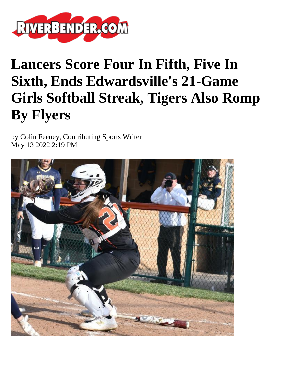

## **Lancers Score Four In Fifth, Five In Sixth, Ends Edwardsville's 21-Game Girls Softball Streak, Tigers Also Romp By Flyers**

by Colin Feeney, Contributing Sports Writer May 13 2022 2:19 PM

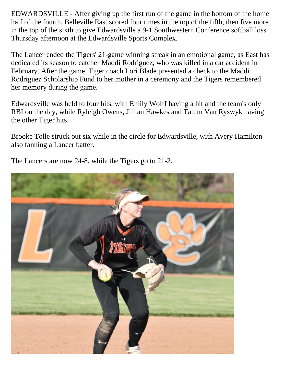EDWARDSVILLE - After giving up the first run of the game in the bottom of the home half of the fourth, Belleville East scored four times in the top of the fifth, then five more in the top of the sixth to give Edwardsville a 9-1 Southwestern Conference softball loss Thursday afternoon at the Edwardsville Sports Complex.

The Lancer ended the Tigers' 21-game winning streak in an emotional game, as East has dedicated its season to catcher Maddi Rodriguez, who was killed in a car accident in February. After the game, Tiger coach Lori Blade presented a check to the Maddi Rodriguez Scholarship Fund to her mother in a ceremony and the Tigers remembered her memory during the game.

Edwardsville was held to four hits, with Emily Wolff having a hit and the team's only RBI on the day, while Ryleigh Owens, Jillian Hawkes and Tatum Van Ryswyk having the other Tiger hits.

Brooke Tolle struck out six while in the circle for Edwardsville, with Avery Hamilton also fanning a Lancer batter.

The Lancers are now 24-8, while the Tigers go to 21-2.